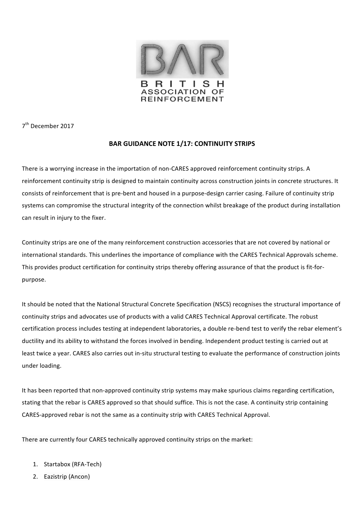

7<sup>th</sup> December 2017

## **BAR GUIDANCE NOTE 1/17: CONTINUITY STRIPS**

There is a worrying increase in the importation of non-CARES approved reinforcement continuity strips. A reinforcement continuity strip is designed to maintain continuity across construction joints in concrete structures. It consists of reinforcement that is pre-bent and housed in a purpose-design carrier casing. Failure of continuity strip systems can compromise the structural integrity of the connection whilst breakage of the product during installation can result in injury to the fixer.

Continuity strips are one of the many reinforcement construction accessories that are not covered by national or international standards. This underlines the importance of compliance with the CARES Technical Approvals scheme. This provides product certification for continuity strips thereby offering assurance of that the product is fit-forpurpose. 

It should be noted that the National Structural Concrete Specification (NSCS) recognises the structural importance of continuity strips and advocates use of products with a valid CARES Technical Approval certificate. The robust certification process includes testing at independent laboratories, a double re-bend test to verify the rebar element's ductility and its ability to withstand the forces involved in bending. Independent product testing is carried out at least twice a year. CARES also carries out in-situ structural testing to evaluate the performance of construction joints under loading.

It has been reported that non-approved continuity strip systems may make spurious claims regarding certification, stating that the rebar is CARES approved so that should suffice. This is not the case. A continuity strip containing CARES-approved rebar is not the same as a continuity strip with CARES Technical Approval.

There are currently four CARES technically approved continuity strips on the market:

- 1. Startabox (RFA-Tech)
- 2. Eazistrip (Ancon)